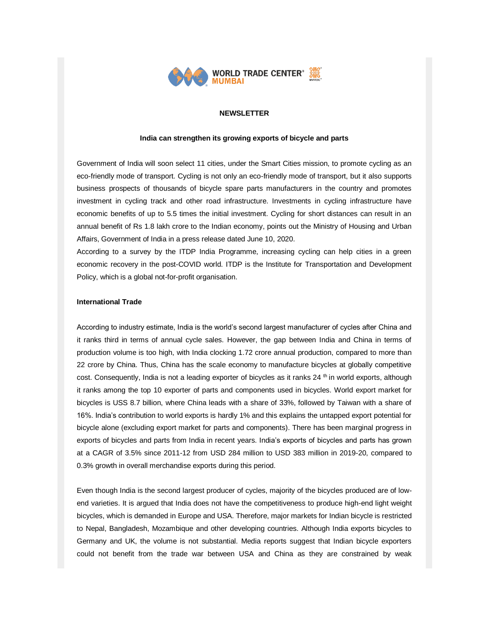

### **NEWSLETTER**

#### **India can strengthen its growing exports of bicycle and parts**

Government of India will soon select 11 cities, under the Smart Cities mission, to promote cycling as an eco-friendly mode of transport. Cycling is not only an eco-friendly mode of transport, but it also supports business prospects of thousands of bicycle spare parts manufacturers in the country and promotes investment in cycling track and other road infrastructure. Investments in cycling infrastructure have economic benefits of up to 5.5 times the initial investment. Cycling for short distances can result in an annual benefit of Rs 1.8 lakh crore to the Indian economy, points out the Ministry of Housing and Urban Affairs, Government of India in a press release dated June 10, 2020.

According to a survey by the ITDP India Programme, increasing cycling can help cities in a green economic recovery in the post-COVID world. ITDP is the Institute for Transportation and Development Policy, which is a global not-for-profit organisation.

### **International Trade**

According to industry estimate, India is the world's second largest manufacturer of cycles after China and it ranks third in terms of annual cycle sales. However, the gap between India and China in terms of production volume is too high, with India clocking 1.72 crore annual production, compared to more than 22 crore by China. Thus, China has the scale economy to manufacture bicycles at globally competitive cost. Consequently, India is not a leading exporter of bicycles as it ranks 24 <sup>th</sup> in world exports, although it ranks among the top 10 exporter of parts and components used in bicycles. World export market for bicycles is USS 8.7 billion, where China leads with a share of 33%, followed by Taiwan with a share of 16%. India's contribution to world exports is hardly 1% and this explains the untapped export potential for bicycle alone (excluding export market for parts and components). There has been marginal progress in exports of bicycles and parts from India in recent years. India's exports of bicycles and parts has grown at a CAGR of 3.5% since 2011-12 from USD 284 million to USD 383 million in 2019-20, compared to 0.3% growth in overall merchandise exports during this period.

Even though India is the second largest producer of cycles, majority of the bicycles produced are of lowend varieties. It is argued that India does not have the competitiveness to produce high-end light weight bicycles, which is demanded in Europe and USA. Therefore, major markets for Indian bicycle is restricted to Nepal, Bangladesh, Mozambique and other developing countries. Although India exports bicycles to Germany and UK, the volume is not substantial. Media reports suggest that Indian bicycle exporters could not benefit from the trade war between USA and China as they are constrained by weak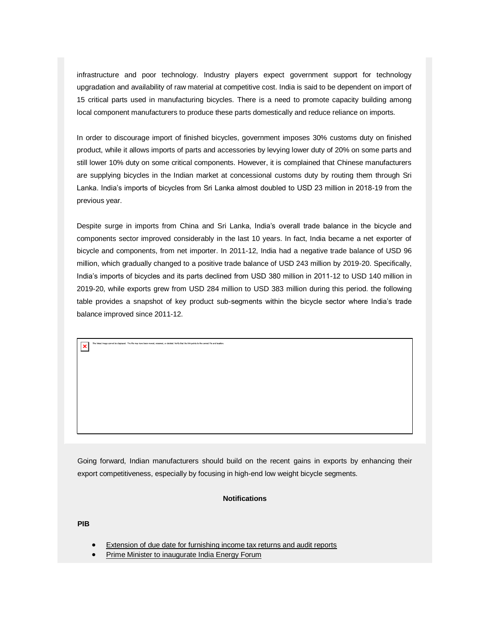infrastructure and poor technology. Industry players expect government support for technology upgradation and availability of raw material at competitive cost. India is said to be dependent on import of 15 critical parts used in manufacturing bicycles. There is a need to promote capacity building among local component manufacturers to produce these parts domestically and reduce reliance on imports.

In order to discourage import of finished bicycles, government imposes 30% customs duty on finished product, while it allows imports of parts and accessories by levying lower duty of 20% on some parts and still lower 10% duty on some critical components. However, it is complained that Chinese manufacturers are supplying bicycles in the Indian market at concessional customs duty by routing them through Sri Lanka. India's imports of bicycles from Sri Lanka almost doubled to USD 23 million in 2018-19 from the previous year.

Despite surge in imports from China and Sri Lanka, India's overall trade balance in the bicycle and components sector improved considerably in the last 10 years. In fact, India became a net exporter of bicycle and components, from net importer. In 2011-12, India had a negative trade balance of USD 96 million, which gradually changed to a positive trade balance of USD 243 million by 2019-20. Specifically, India's imports of bicycles and its parts declined from USD 380 million in 2011-12 to USD 140 million in 2019-20, while exports grew from USD 284 million to USD 383 million during this period. the following table provides a snapshot of key product sub-segments within the bicycle sector where India's trade balance improved since 2011-12.

Going forward, Indian manufacturers should build on the recent gains in exports by enhancing their export competitiveness, especially by focusing in high-end low weight bicycle segments.

#### **Notifications**

**PIB**

- [Extension of due date for furnishing income tax returns and audit reports](https://list.mg2.mlgnserv.com/track/click?u=3d39bef0aed2d0ed40e6a3dacf9bf882&id=d450287c&e=02a4afc680e2b3e1)
- [Prime Minister to inaugurate India Energy Forum](https://list.mg2.mlgnserv.com/track/click?u=3d39bef0aed2d0ed40e6a3dacf9bf882&id=634de978&e=02a4afc680e2b3e1)

imed, or deleted. Verify that the link points to the correct file and location